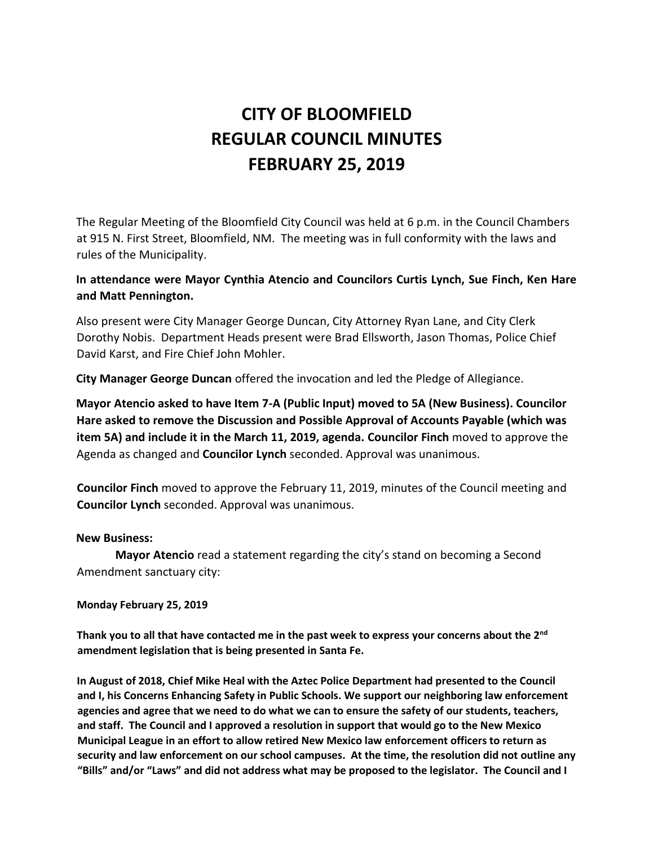# **CITY OF BLOOMFIELD REGULAR COUNCIL MINUTES FEBRUARY 25, 2019**

The Regular Meeting of the Bloomfield City Council was held at 6 p.m. in the Council Chambers at 915 N. First Street, Bloomfield, NM. The meeting was in full conformity with the laws and rules of the Municipality.

# **In attendance were Mayor Cynthia Atencio and Councilors Curtis Lynch, Sue Finch, Ken Hare and Matt Pennington.**

Also present were City Manager George Duncan, City Attorney Ryan Lane, and City Clerk Dorothy Nobis. Department Heads present were Brad Ellsworth, Jason Thomas, Police Chief David Karst, and Fire Chief John Mohler.

**City Manager George Duncan** offered the invocation and led the Pledge of Allegiance.

**Mayor Atencio asked to have Item 7-A (Public Input) moved to 5A (New Business). Councilor Hare asked to remove the Discussion and Possible Approval of Accounts Payable (which was item 5A) and include it in the March 11, 2019, agenda. Councilor Finch** moved to approve the Agenda as changed and **Councilor Lynch** seconded. Approval was unanimous.

**Councilor Finch** moved to approve the February 11, 2019, minutes of the Council meeting and **Councilor Lynch** seconded. Approval was unanimous.

#### **New Business:**

**Mayor Atencio** read a statement regarding the city's stand on becoming a Second Amendment sanctuary city:

**Monday February 25, 2019**

**Thank you to all that have contacted me in the past week to express your concerns about the 2nd amendment legislation that is being presented in Santa Fe.** 

**In August of 2018, Chief Mike Heal with the Aztec Police Department had presented to the Council and I, his Concerns Enhancing Safety in Public Schools. We support our neighboring law enforcement agencies and agree that we need to do what we can to ensure the safety of our students, teachers, and staff. The Council and I approved a resolution in support that would go to the New Mexico Municipal League in an effort to allow retired New Mexico law enforcement officers to return as security and law enforcement on our school campuses. At the time, the resolution did not outline any "Bills" and/or "Laws" and did not address what may be proposed to the legislator. The Council and I**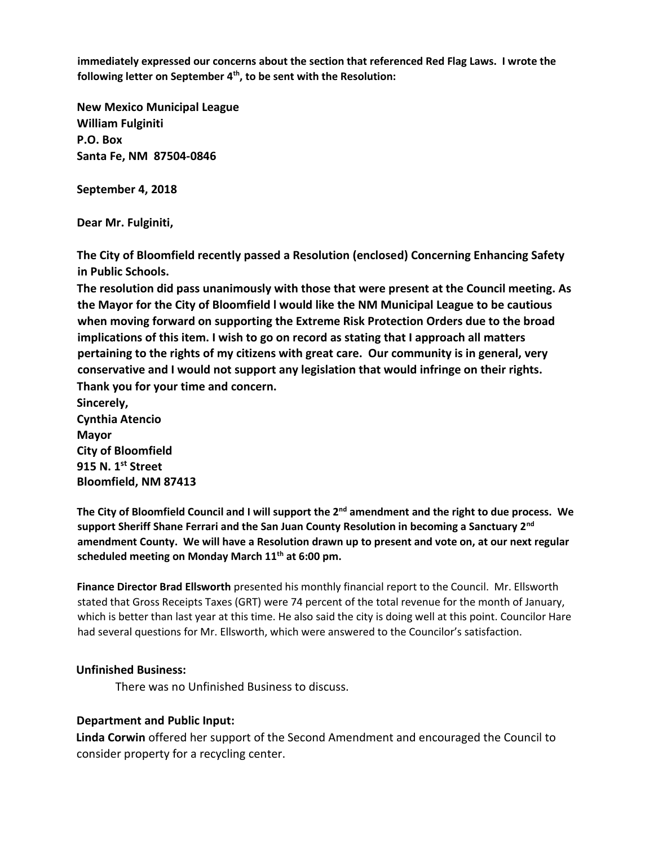**immediately expressed our concerns about the section that referenced Red Flag Laws. I wrote the following letter on September 4th, to be sent with the Resolution:**

**New Mexico Municipal League William Fulginiti P.O. Box Santa Fe, NM 87504-0846**

**September 4, 2018**

**Dear Mr. Fulginiti,**

**The City of Bloomfield recently passed a Resolution (enclosed) Concerning Enhancing Safety in Public Schools.**

**The resolution did pass unanimously with those that were present at the Council meeting. As the Mayor for the City of Bloomfield l would like the NM Municipal League to be cautious when moving forward on supporting the Extreme Risk Protection Orders due to the broad implications of this item. I wish to go on record as stating that I approach all matters pertaining to the rights of my citizens with great care. Our community is in general, very conservative and I would not support any legislation that would infringe on their rights. Thank you for your time and concern.**

**Sincerely, Cynthia Atencio Mayor City of Bloomfield 915 N. 1st Street Bloomfield, NM 87413**

**The City of Bloomfield Council and I will support the 2nd amendment and the right to due process. We support Sheriff Shane Ferrari and the San Juan County Resolution in becoming a Sanctuary 2nd amendment County. We will have a Resolution drawn up to present and vote on, at our next regular scheduled meeting on Monday March 11th at 6:00 pm.**

**Finance Director Brad Ellsworth** presented his monthly financial report to the Council. Mr. Ellsworth stated that Gross Receipts Taxes (GRT) were 74 percent of the total revenue for the month of January, which is better than last year at this time. He also said the city is doing well at this point. Councilor Hare had several questions for Mr. Ellsworth, which were answered to the Councilor's satisfaction.

#### **Unfinished Business:**

There was no Unfinished Business to discuss.

#### **Department and Public Input:**

**Linda Corwin** offered her support of the Second Amendment and encouraged the Council to consider property for a recycling center.